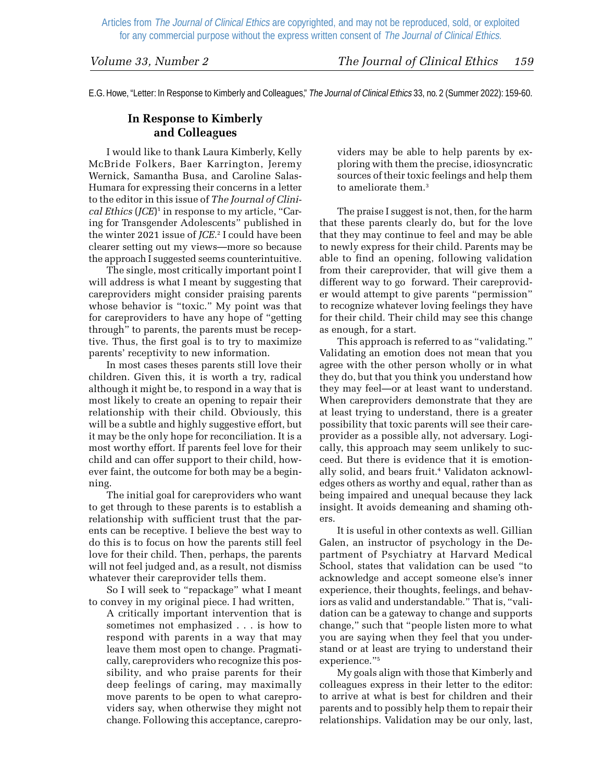E.G. Howe, "Letter: In Response to Kimberly and Colleagues," The Journal of Clinical Ethics 33, no. 2 (Summer 2022): 159-60.

## **In Response to Kimberly and Colleagues**

I would like to thank Laura Kimberly, Kelly McBride Folkers, Baer Karrington, Jeremy Wernick, Samantha Busa, and Caroline Salas-Humara for expressing their concerns in a letter to the editor in this issue of *The Journal of Clinical Ethics* (*JCE*) 1 in response to my article, "Caring for Transgender Adolescents" published in the winter 2021 issue of *JCE*. 2 I could have been clearer setting out my views—more so because the approach I suggested seems counterintuitive.

The single, most critically important point I will address is what I meant by suggesting that careproviders might consider praising parents whose behavior is "toxic." My point was that for careproviders to have any hope of "getting through" to parents, the parents must be receptive. Thus, the first goal is to try to maximize parents' receptivity to new information.

In most cases theses parents still love their children. Given this, it is worth a try, radical although it might be, to respond in a way that is most likely to create an opening to repair their relationship with their child. Obviously, this will be a subtle and highly suggestive effort, but it may be the only hope for reconciliation. It is a most worthy effort. If parents feel love for their child and can offer support to their child, however faint, the outcome for both may be a beginning.

The initial goal for careproviders who want to get through to these parents is to establish a relationship with sufficient trust that the parents can be receptive. I believe the best way to do this is to focus on how the parents still feel love for their child. Then, perhaps, the parents will not feel judged and, as a result, not dismiss whatever their careprovider tells them.

So I will seek to "repackage" what I meant to convey in my original piece. I had written,

A critically important intervention that is sometimes not emphasized . . . is how to respond with parents in a way that may leave them most open to change. Pragmatically, careproviders who recognize this possibility, and who praise parents for their deep feelings of caring, may maximally move parents to be open to what careproviders say, when otherwise they might not change. Following this acceptance, careproviders may be able to help parents by exploring with them the precise, idiosyncratic sources of their toxic feelings and help them to ameliorate them.<sup>3</sup>

The praise I suggest is not, then, for the harm that these parents clearly do, but for the love that they may continue to feel and may be able to newly express for their child. Parents may be able to find an opening, following validation from their careprovider, that will give them a different way to go forward. Their careprovider would attempt to give parents "permission" to recognize whatever loving feelings they have for their child. Their child may see this change as enough, for a start.

This approach is referred to as "validating." Validating an emotion does not mean that you agree with the other person wholly or in what they do, but that you think you understand how they may feel—or at least want to understand. When careproviders demonstrate that they are at least trying to understand, there is a greater possibility that toxic parents will see their careprovider as a possible ally, not adversary. Logically, this approach may seem unlikely to succeed. But there is evidence that it is emotionally solid, and bears fruit.<sup>4</sup> Validaton acknowledges others as worthy and equal, rather than as being impaired and unequal because they lack insight. It avoids demeaning and shaming others.

It is useful in other contexts as well. Gillian Galen, an instructor of psychology in the Department of Psychiatry at Harvard Medical School, states that validation can be used "to acknowledge and accept someone else's inner experience, their thoughts, feelings, and behaviors as valid and understandable." That is, "validation can be a gateway to change and supports change," such that "people listen more to what you are saying when they feel that you understand or at least are trying to understand their experience."5

My goals align with those that Kimberly and colleagues express in their letter to the editor: to arrive at what is best for children and their parents and to possibly help them to repair their relationships. Validation may be our only, last,